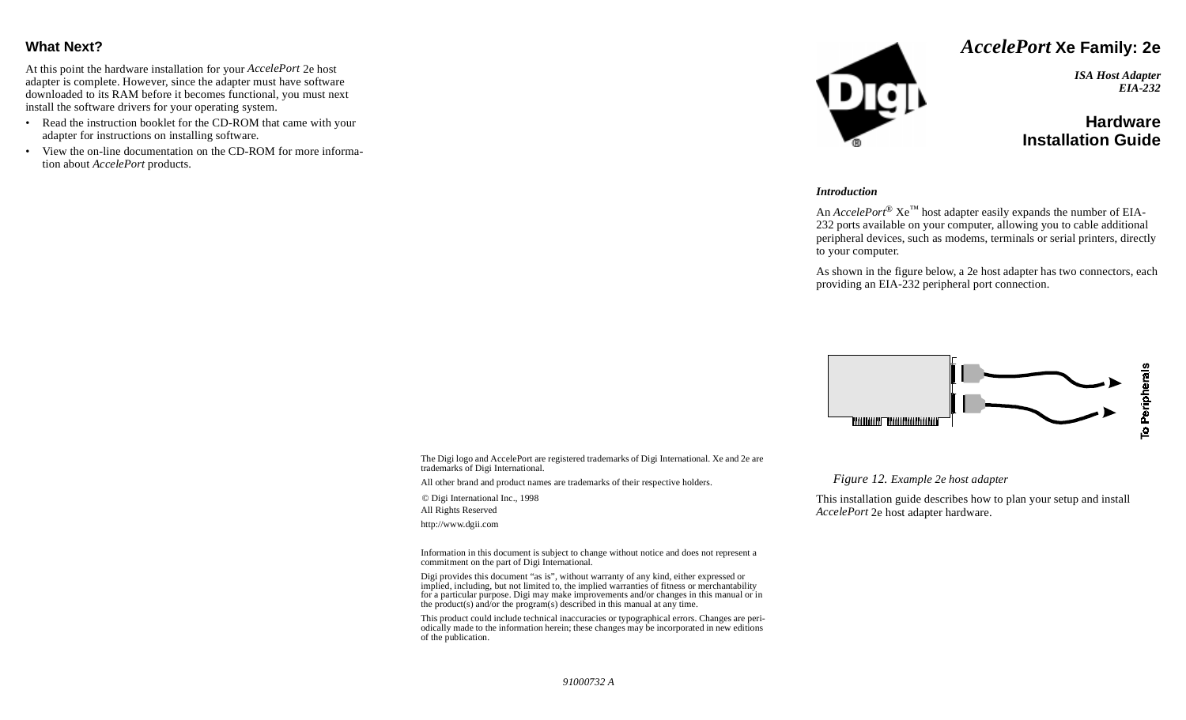### **What Next?**

At this point the hardware installation for your *AccelePort* 2e host adapter is complete. However, since the adapter must have software downloaded to its RAM before it becomes functional, you must next install the software drivers for your operating system.

- Read the instruction booklet for the CD-ROM that came with your adapter for instructions on installing software.
- View the on-line documentation on the CD-ROM for more information about *AccelePort* products.



## *AccelePort* **Xe Family: 2e**

*ISA Host Adapter EIA-232*

# **HardwareInstallation Guide**

#### *Introduction*

An  $\text{A} \text{c} \text{c} \text{e} \text{e} \text{P} \text{or} \text{t}^{\text{\tiny{(B)}}}$  Xe<sup>™</sup> host adapter easily expands the number of EIA-232 ports available on your computer, allowing you to cable additional peripheral devices, such as modems, terminals or serial printers, directly to your computer.

As shown in the figure below, a 2e host adapter has two connectors, each providing an EIA-232 peripheral port connection.



The Digi logo and AccelePort are registered trademarks of Digi International. Xe and 2e are trademarks of Digi International.

All other brand and product names are trademarks of their respective holders.

© Digi International Inc., 1998 All Rights Reserved http://www.dgii.com

Information in this document is subject to change without notice and does not represent a commitment on the part of Digi International.

Digi provides this document "as is", without warranty of any kind, either expressed or implied, including, but not limited to, the implied warranties of fitness or merchantability for a particular purpose. Digi may make improvements and/or changes in this manual or in the product(s) and/or the program(s) described in this manual at any time.

This product could include technical inaccuracies or typographical errors. Changes are periodically made to the information herein; these changes may be incorporated in new editions of the publication.

*Figure 12. Example 2e host adapter* 

This installation guide describes how to plan your setup and install *AccelePort* 2e host adapter hardware.